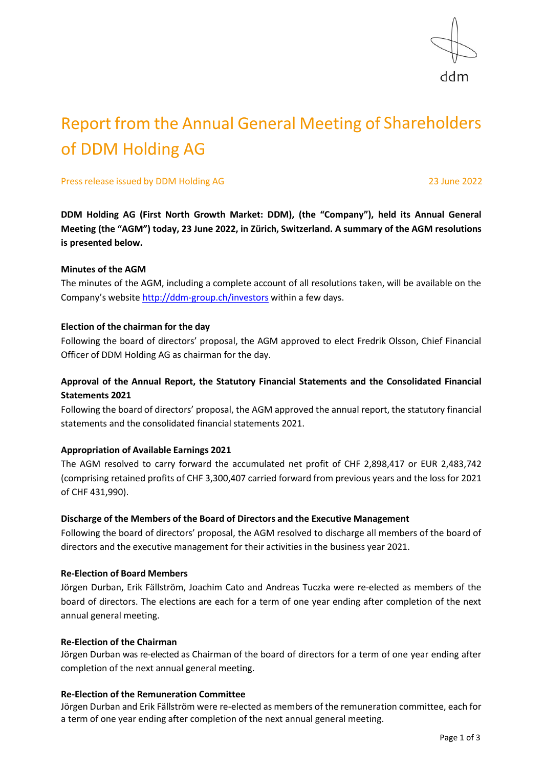

# Report from the Annual General Meeting of Shareholders of DDM Holding AG

Press release issued by DDM Holding AG 23 June 2022

**DDM Holding AG (First North Growth Market: DDM), (the "Company"), held its Annual General Meeting (the "AGM") today, 23 June 2022, in Zürich, Switzerland. A summary of the AGM resolutions is presented below.**

#### **Minutes of the AGM**

The minutes of the AGM, including a complete account of all resolutions taken, will be available on the Company's website <http://ddm-group.ch/investors> within a few days.

#### **Election of the chairman for the day**

Following the board of directors' proposal, the AGM approved to elect Fredrik Olsson, Chief Financial Officer of DDM Holding AG as chairman for the day.

## **Approval of the Annual Report, the Statutory Financial Statements and the Consolidated Financial Statements 2021**

Following the board of directors' proposal, the AGM approved the annual report, the statutory financial statements and the consolidated financial statements 2021.

## **Appropriation of Available Earnings 2021**

The AGM resolved to carry forward the accumulated net profit of CHF 2,898,417 or EUR 2,483,742 (comprising retained profits of CHF 3,300,407 carried forward from previous years and the loss for 2021 of CHF 431,990).

## **Discharge of the Members of the Board of Directors and the Executive Management**

Following the board of directors' proposal, the AGM resolved to discharge all members of the board of directors and the executive management for their activities in the business year 2021.

#### **Re-Election of Board Members**

Jörgen Durban, Erik Fällström, Joachim Cato and Andreas Tuczka were re-elected as members of the board of directors. The elections are each for a term of one year ending after completion of the next annual general meeting.

## **Re-Election of the Chairman**

Jörgen Durban was re-elected as Chairman of the board of directors for a term of one year ending after completion of the next annual general meeting.

## **Re-Election of the Remuneration Committee**

Jörgen Durban and Erik Fällström were re-elected as members of the remuneration committee, each for a term of one year ending after completion of the next annual general meeting.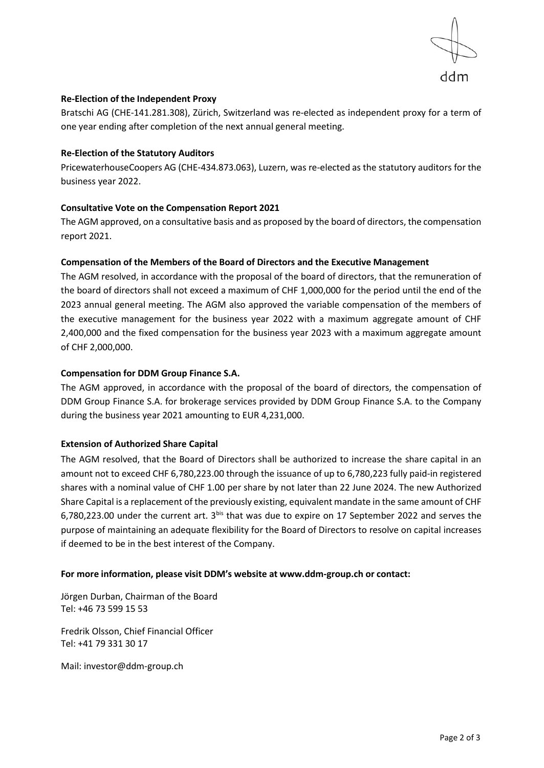

## **Re-Election of the Independent Proxy**

Bratschi AG (CHE-141.281.308), Zürich, Switzerland was re-elected as independent proxy for a term of one year ending after completion of the next annual general meeting.

#### **Re-Election of the Statutory Auditors**

PricewaterhouseCoopers AG (CHE‑434.873.063), Luzern, was re-elected as the statutory auditors for the business year 2022.

## **Consultative Vote on the Compensation Report 2021**

The AGM approved, on a consultative basis and as proposed by the board of directors, the compensation report 2021.

#### **Compensation of the Members of the Board of Directors and the Executive Management**

The AGM resolved, in accordance with the proposal of the board of directors, that the remuneration of the board of directors shall not exceed a maximum of CHF 1,000,000 for the period until the end of the 2023 annual general meeting. The AGM also approved the variable compensation of the members of the executive management for the business year 2022 with a maximum aggregate amount of CHF 2,400,000 and the fixed compensation for the business year 2023 with a maximum aggregate amount of CHF 2,000,000.

#### **Compensation for DDM Group Finance S.A.**

The AGM approved, in accordance with the proposal of the board of directors, the compensation of DDM Group Finance S.A. for brokerage services provided by DDM Group Finance S.A. to the Company during the business year 2021 amounting to EUR 4,231,000.

## **Extension of Authorized Share Capital**

The AGM resolved, that the Board of Directors shall be authorized to increase the share capital in an amount not to exceed CHF 6,780,223.00 through the issuance of up to 6,780,223 fully paid-in registered shares with a nominal value of CHF 1.00 per share by not later than 22 June 2024. The new Authorized Share Capital is a replacement of the previously existing, equivalent mandate in the same amount of CHF 6,780,223.00 under the current art. 3bis that was due to expire on 17 September 2022 and serves the purpose of maintaining an adequate flexibility for the Board of Directors to resolve on capital increases if deemed to be in the best interest of the Company.

#### **For more information, please visit DDM's website at [www.ddm-group.ch](http://www.ddm-group.ch/) or contact:**

Jörgen Durban, Chairman of the Board Tel: +46 73 599 15 53

Fredrik Olsson, Chief Financial Officer Tel: +41 79 331 30 17

Mail: [investor@ddm-group.ch](mailto:investor@ddm-group.ch)